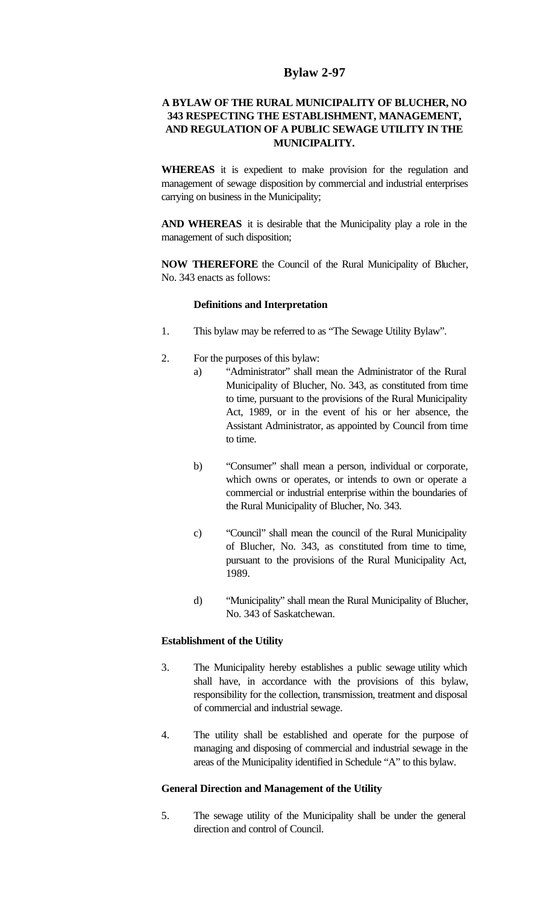# **Bylaw 2-97**

# **A BYLAW OF THE RURAL MUNICIPALITY OF BLUCHER, NO 343 RESPECTING THE ESTABLISHMENT, MANAGEMENT, AND REGULATION OF A PUBLIC SEWAGE UTILITY IN THE MUNICIPALITY.**

**WHEREAS** it is expedient to make provision for the regulation and management of sewage disposition by commercial and industrial enterprises carrying on business in the Municipality;

**AND WHEREAS** it is desirable that the Municipality play a role in the management of such disposition;

**NOW THEREFORE** the Council of the Rural Municipality of Blucher, No. 343 enacts as follows:

## **Definitions and Interpretation**

- 1. This bylaw may be referred to as "The Sewage Utility Bylaw".
- 2. For the purposes of this bylaw:
	- a) "Administrator" shall mean the Administrator of the Rural Municipality of Blucher, No. 343, as constituted from time to time, pursuant to the provisions of the Rural Municipality Act, 1989, or in the event of his or her absence, the Assistant Administrator, as appointed by Council from time to time.
	- b) "Consumer" shall mean a person, individual or corporate, which owns or operates, or intends to own or operate a commercial or industrial enterprise within the boundaries of the Rural Municipality of Blucher, No. 343.
	- c) "Council" shall mean the council of the Rural Municipality of Blucher, No. 343, as constituted from time to time, pursuant to the provisions of the Rural Municipality Act, 1989.
	- d) "Municipality" shall mean the Rural Municipality of Blucher, No. 343 of Saskatchewan.

## **Establishment of the Utility**

- 3. The Municipality hereby establishes a public sewage utility which shall have, in accordance with the provisions of this bylaw, responsibility for the collection, transmission, treatment and disposal of commercial and industrial sewage.
- 4. The utility shall be established and operate for the purpose of managing and disposing of commercial and industrial sewage in the areas of the Municipality identified in Schedule "A" to this bylaw.

## **General Direction and Management of the Utility**

5. The sewage utility of the Municipality shall be under the general direction and control of Council.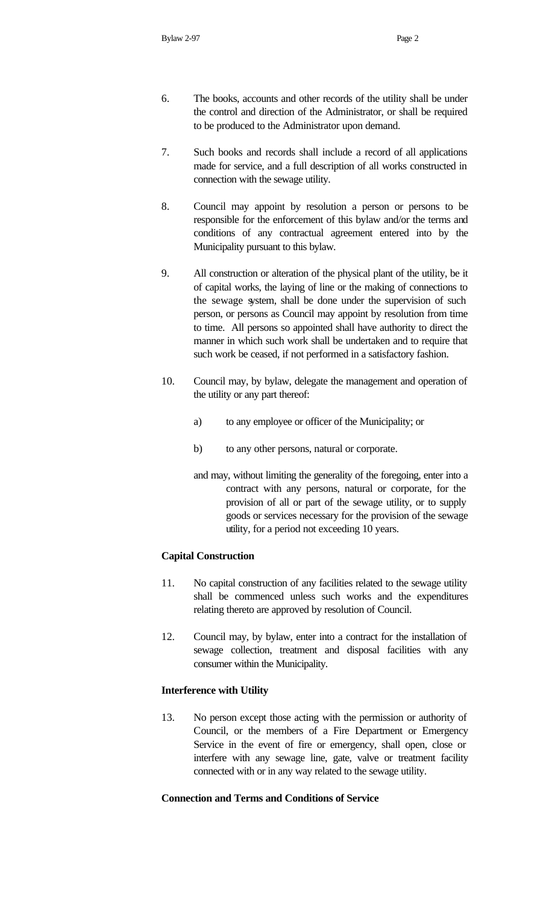- 6. The books, accounts and other records of the utility shall be under the control and direction of the Administrator, or shall be required to be produced to the Administrator upon demand.
- 7. Such books and records shall include a record of all applications made for service, and a full description of all works constructed in connection with the sewage utility.
- 8. Council may appoint by resolution a person or persons to be responsible for the enforcement of this bylaw and/or the terms and conditions of any contractual agreement entered into by the Municipality pursuant to this bylaw.
- 9. All construction or alteration of the physical plant of the utility, be it of capital works, the laying of line or the making of connections to the sewage system, shall be done under the supervision of such person, or persons as Council may appoint by resolution from time to time. All persons so appointed shall have authority to direct the manner in which such work shall be undertaken and to require that such work be ceased, if not performed in a satisfactory fashion.
- 10. Council may, by bylaw, delegate the management and operation of the utility or any part thereof:
	- a) to any employee or officer of the Municipality; or
	- b) to any other persons, natural or corporate.
	- and may, without limiting the generality of the foregoing, enter into a contract with any persons, natural or corporate, for the provision of all or part of the sewage utility, or to supply goods or services necessary for the provision of the sewage utility, for a period not exceeding 10 years.

## **Capital Construction**

- 11. No capital construction of any facilities related to the sewage utility shall be commenced unless such works and the expenditures relating thereto are approved by resolution of Council.
- 12. Council may, by bylaw, enter into a contract for the installation of sewage collection, treatment and disposal facilities with any consumer within the Municipality.

## **Interference with Utility**

13. No person except those acting with the permission or authority of Council, or the members of a Fire Department or Emergency Service in the event of fire or emergency, shall open, close or interfere with any sewage line, gate, valve or treatment facility connected with or in any way related to the sewage utility.

#### **Connection and Terms and Conditions of Service**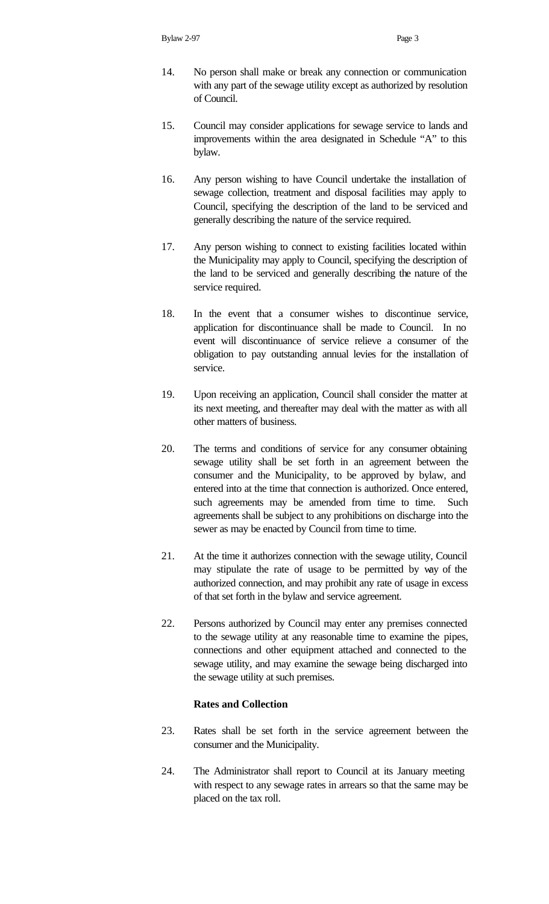- 14. No person shall make or break any connection or communication with any part of the sewage utility except as authorized by resolution of Council.
- 15. Council may consider applications for sewage service to lands and improvements within the area designated in Schedule "A" to this bylaw.
- 16. Any person wishing to have Council undertake the installation of sewage collection, treatment and disposal facilities may apply to Council, specifying the description of the land to be serviced and generally describing the nature of the service required.
- 17. Any person wishing to connect to existing facilities located within the Municipality may apply to Council, specifying the description of the land to be serviced and generally describing the nature of the service required.
- 18. In the event that a consumer wishes to discontinue service, application for discontinuance shall be made to Council. In no event will discontinuance of service relieve a consumer of the obligation to pay outstanding annual levies for the installation of service.
- 19. Upon receiving an application, Council shall consider the matter at its next meeting, and thereafter may deal with the matter as with all other matters of business.
- 20. The terms and conditions of service for any consumer obtaining sewage utility shall be set forth in an agreement between the consumer and the Municipality, to be approved by bylaw, and entered into at the time that connection is authorized. Once entered, such agreements may be amended from time to time. Such agreements shall be subject to any prohibitions on discharge into the sewer as may be enacted by Council from time to time.
- 21. At the time it authorizes connection with the sewage utility, Council may stipulate the rate of usage to be permitted by way of the authorized connection, and may prohibit any rate of usage in excess of that set forth in the bylaw and service agreement.
- 22. Persons authorized by Council may enter any premises connected to the sewage utility at any reasonable time to examine the pipes, connections and other equipment attached and connected to the sewage utility, and may examine the sewage being discharged into the sewage utility at such premises.

## **Rates and Collection**

- 23. Rates shall be set forth in the service agreement between the consumer and the Municipality.
- 24. The Administrator shall report to Council at its January meeting with respect to any sewage rates in arrears so that the same may be placed on the tax roll.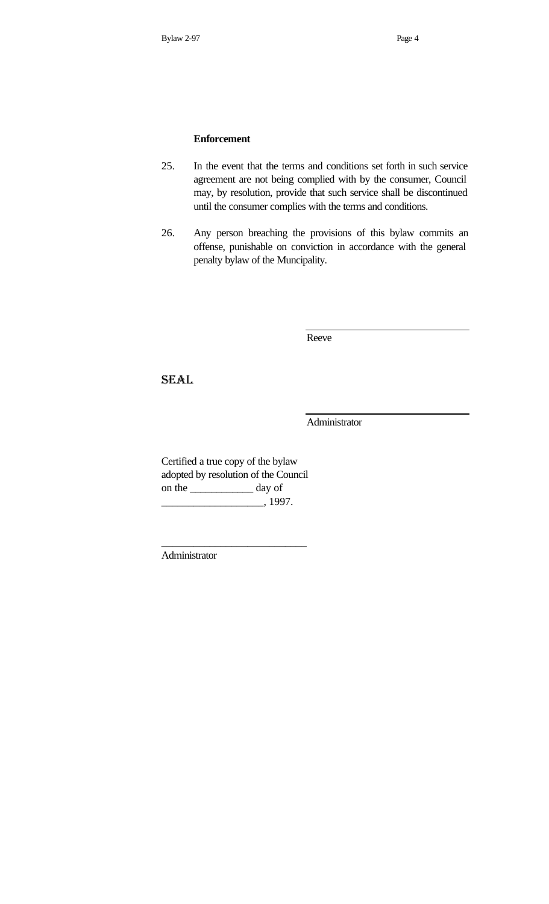# **Enforcement**

- 25. In the event that the terms and conditions set forth in such service agreement are not being complied with by the consumer, Council may, by resolution, provide that such service shall be discontinued until the consumer complies with the terms and conditions.
- 26. Any person breaching the provisions of this bylaw commits an offense, punishable on conviction in accordance with the general penalty bylaw of the Muncipality.

Reeve

SEAL

Administrator

Certified a true copy of the bylaw adopted by resolution of the Council on the \_\_\_\_\_\_\_\_\_\_\_\_ day of \_\_\_\_\_\_\_\_\_\_\_\_\_\_\_\_\_\_\_, 1997.

\_\_\_\_\_\_\_\_\_\_\_\_\_\_\_\_\_\_\_\_\_\_\_\_\_\_\_

Administrator